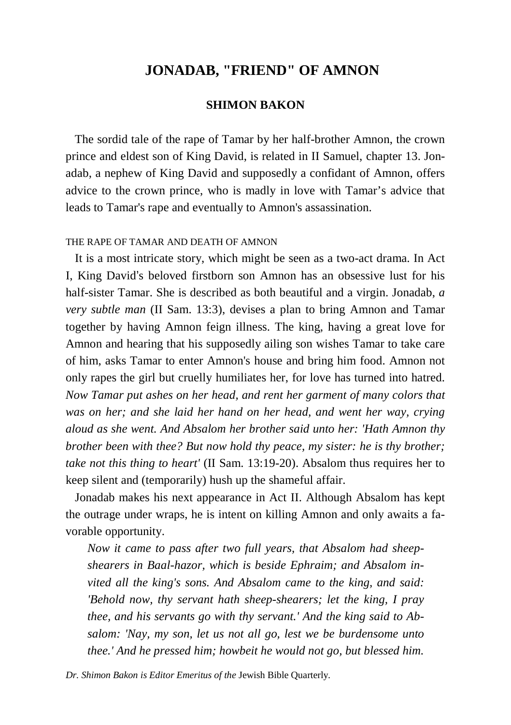# **JONADAB, "FRIEND" OF AMNON**

## **SHIMON BAKON**

 The sordid tale of the rape of Tamar by her half-brother Amnon, the crown prince and eldest son of King David, is related in II Samuel, chapter 13. Jonadab, a nephew of King David and supposedly a confidant of Amnon, offers advice to the crown prince, who is madly in love with Tamar's advice that leads to Tamar's rape and eventually to Amnon's assassination.

#### THE RAPE OF TAMAR AND DEATH OF AMNON

 It is a most intricate story, which might be seen as a two-act drama. In Act I, King David's beloved firstborn son Amnon has an obsessive lust for his half-sister Tamar. She is described as both beautiful and a virgin. Jonadab, *a very subtle man* (II Sam. 13:3), devises a plan to bring Amnon and Tamar together by having Amnon feign illness. The king, having a great love for Amnon and hearing that his supposedly ailing son wishes Tamar to take care of him, asks Tamar to enter Amnon's house and bring him food. Amnon not only rapes the girl but cruelly humiliates her, for love has turned into hatred. *Now Tamar put ashes on her head, and rent her garment of many colors that was on her; and she laid her hand on her head, and went her way, crying aloud as she went. And Absalom her brother said unto her: 'Hath Amnon thy brother been with thee? But now hold thy peace, my sister: he is thy brother; take not this thing to heart'* (II Sam. 13:19-20). Absalom thus requires her to keep silent and (temporarily) hush up the shameful affair.

 Jonadab makes his next appearance in Act II. Although Absalom has kept the outrage under wraps, he is intent on killing Amnon and only awaits a favorable opportunity.

*Now it came to pass after two full years, that Absalom had sheepshearers in Baal-hazor, which is beside Ephraim; and Absalom invited all the king's sons. And Absalom came to the king, and said: 'Behold now, thy servant hath sheep-shearers; let the king, I pray thee, and his servants go with thy servant.' And the king said to Absalom: 'Nay, my son, let us not all go, lest we be burdensome unto thee.' And he pressed him; howbeit he would not go, but blessed him.* 

*Dr. Shimon Bakon is Editor Emeritus of the* Jewish Bible Quarterly.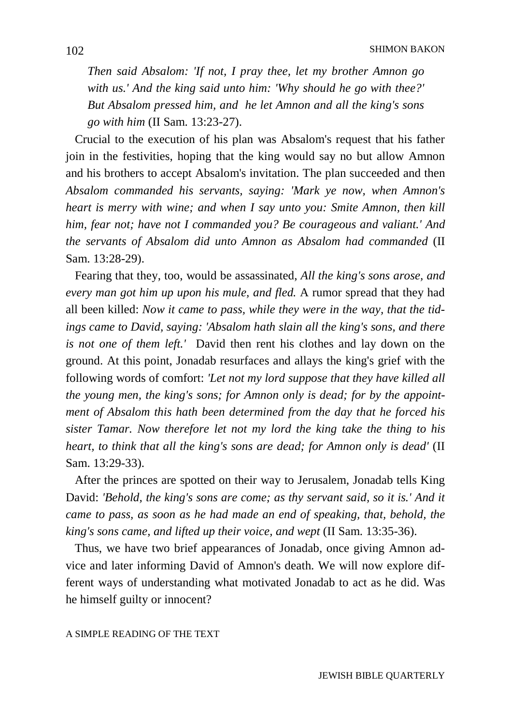*Then said Absalom: 'If not, I pray thee, let my brother Amnon go with us.' And the king said unto him: 'Why should he go with thee?' But Absalom pressed him, and he let Amnon and all the king's sons go with him* (II Sam. 13:23-27).

 Crucial to the execution of his plan was Absalom's request that his father join in the festivities, hoping that the king would say no but allow Amnon and his brothers to accept Absalom's invitation. The plan succeeded and then *Absalom commanded his servants, saying: 'Mark ye now, when Amnon's heart is merry with wine; and when I say unto you: Smite Amnon, then kill him, fear not; have not I commanded you? Be courageous and valiant.' And the servants of Absalom did unto Amnon as Absalom had commanded* (II Sam. 13:28-29).

 Fearing that they, too, would be assassinated, *All the king's sons arose, and every man got him up upon his mule, and fled.* A rumor spread that they had all been killed: *Now it came to pass, while they were in the way, that the tidings came to David, saying: 'Absalom hath slain all the king's sons, and there is not one of them left.'* David then rent his clothes and lay down on the ground. At this point, Jonadab resurfaces and allays the king's grief with the following words of comfort: *'Let not my lord suppose that they have killed all the young men, the king's sons; for Amnon only is dead; for by the appointment of Absalom this hath been determined from the day that he forced his sister Tamar. Now therefore let not my lord the king take the thing to his heart, to think that all the king's sons are dead; for Amnon only is dead'* (II Sam. 13:29-33).

 After the princes are spotted on their way to Jerusalem, Jonadab tells King David: *'Behold, the king's sons are come; as thy servant said, so it is.' And it came to pass, as soon as he had made an end of speaking, that, behold, the king's sons came, and lifted up their voice, and wept* (II Sam. 13:35-36).

 Thus, we have two brief appearances of Jonadab, once giving Amnon advice and later informing David of Amnon's death. We will now explore different ways of understanding what motivated Jonadab to act as he did. Was he himself guilty or innocent?

### A SIMPLE READING OF THE TEXT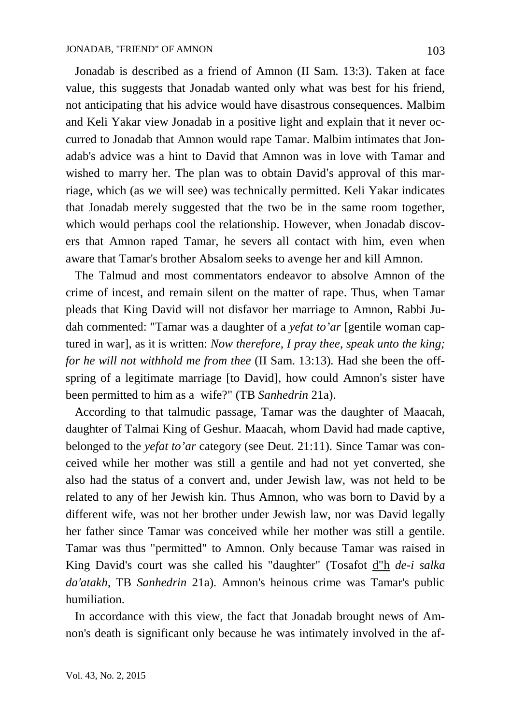Jonadab is described as a friend of Amnon (II Sam. 13:3). Taken at face value, this suggests that Jonadab wanted only what was best for his friend, not anticipating that his advice would have disastrous consequences. Malbim and Keli Yakar view Jonadab in a positive light and explain that it never occurred to Jonadab that Amnon would rape Tamar. Malbim intimates that Jonadab's advice was a hint to David that Amnon was in love with Tamar and wished to marry her. The plan was to obtain David's approval of this marriage, which (as we will see) was technically permitted. Keli Yakar indicates that Jonadab merely suggested that the two be in the same room together, which would perhaps cool the relationship. However, when Jonadab discovers that Amnon raped Tamar, he severs all contact with him, even when aware that Tamar's brother Absalom seeks to avenge her and kill Amnon.

 The Talmud and most commentators endeavor to absolve Amnon of the crime of incest, and remain silent on the matter of rape. Thus, when Tamar pleads that King David will not disfavor her marriage to Amnon, Rabbi Judah commented: "Tamar was a daughter of a *yefat to'ar* [gentile woman captured in war], as it is written: *Now therefore, I pray thee, speak unto the king; for he will not withhold me from thee* (II Sam. 13:13)*.* Had she been the offspring of a legitimate marriage [to David], how could Amnon's sister have been permitted to him as a wife?" (TB *Sanhedrin* 21a).

 According to that talmudic passage, Tamar was the daughter of Maacah, daughter of Talmai King of Geshur. Maacah, whom David had made captive, belonged to the *yefat to'ar* category (see Deut. 21:11). Since Tamar was conceived while her mother was still a gentile and had not yet converted, she also had the status of a convert and, under Jewish law, was not held to be related to any of her Jewish kin. Thus Amnon, who was born to David by a different wife, was not her brother under Jewish law, nor was David legally her father since Tamar was conceived while her mother was still a gentile. Tamar was thus "permitted" to Amnon. Only because Tamar was raised in King David's court was she called his "daughter" (Tosafot d"h *de-i salka da′atakh*, TB *Sanhedrin* 21a). Amnon's heinous crime was Tamar's public humiliation.

 In accordance with this view, the fact that Jonadab brought news of Amnon's death is significant only because he was intimately involved in the af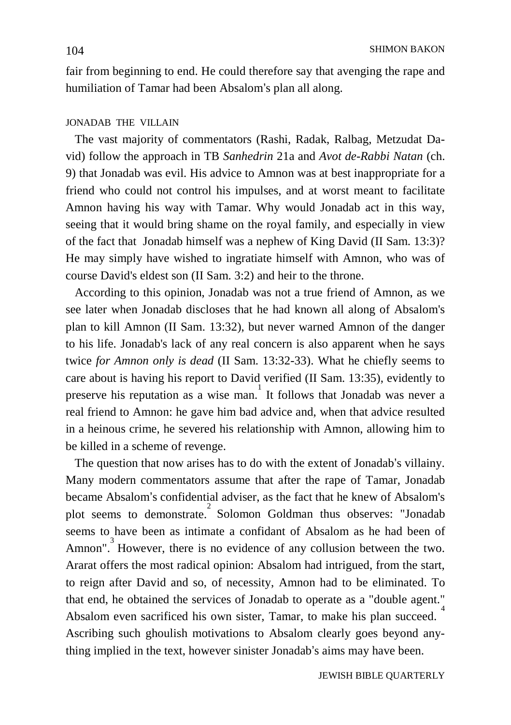fair from beginning to end. He could therefore say that avenging the rape and humiliation of Tamar had been Absalom's plan all along.

## JONADAB THE VILLAIN

 The vast majority of commentators (Rashi, Radak, Ralbag, Metzudat David) follow the approach in TB *Sanhedrin* 21a and *Avot de-Rabbi Natan* (ch. 9) that Jonadab was evil. His advice to Amnon was at best inappropriate for a friend who could not control his impulses, and at worst meant to facilitate Amnon having his way with Tamar. Why would Jonadab act in this way, seeing that it would bring shame on the royal family, and especially in view of the fact that Jonadab himself was a nephew of King David (II Sam. 13:3)? He may simply have wished to ingratiate himself with Amnon, who was of course David's eldest son (II Sam. 3:2) and heir to the throne.

 According to this opinion, Jonadab was not a true friend of Amnon, as we see later when Jonadab discloses that he had known all along of Absalom's plan to kill Amnon (II Sam. 13:32), but never warned Amnon of the danger to his life. Jonadab's lack of any real concern is also apparent when he says twice *for Amnon only is dead* (II Sam. 13:32-33). What he chiefly seems to care about is having his report to David verified (II Sam. 13:35), evidently to preserve his reputation as a wise man. It follows that Jonadab was never a real friend to Amnon: he gave him bad advice and, when that advice resulted in a heinous crime, he severed his relationship with Amnon, allowing him to be killed in a scheme of revenge.

 The question that now arises has to do with the extent of Jonadab's villainy. Many modern commentators assume that after the rape of Tamar, Jonadab became Absalom's confidential adviser, as the fact that he knew of Absalom's plot seems to demonstrate.<sup>2</sup> Solomon Goldman thus observes: "Jonadab seems to have been as intimate a confidant of Absalom as he had been of Amnon". However, there is no evidence of any collusion between the two. Ararat offers the most radical opinion: Absalom had intrigued, from the start, to reign after David and so, of necessity, Amnon had to be eliminated. To that end, he obtained the services of Jonadab to operate as a "double agent." Absalom even sacrificed his own sister, Tamar, to make his plan succeed. 4 Ascribing such ghoulish motivations to Absalom clearly goes beyond anything implied in the text, however sinister Jonadab's aims may have been.